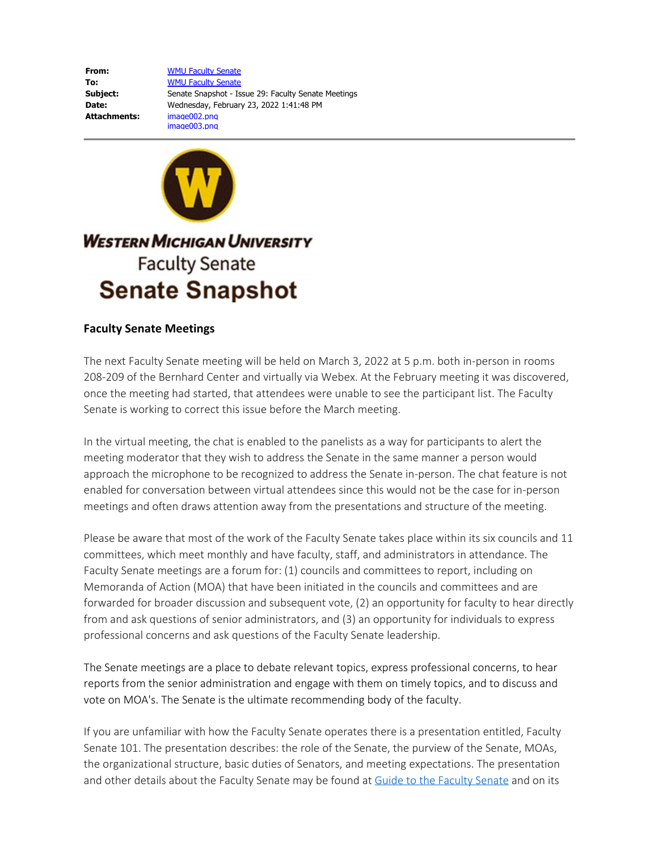**From:** [WMU Faculty Senate](mailto:faculty-senate@wmich.edu) **To:** [WMU Faculty Senate](mailto:faculty-senate@wmich.edu) **Subject:** Senate Snapshot - Issue 29: Faculty Senate Meetings **Date:** Wednesday, February 23, 2022 1:41:48 PM **Attachments:** image002.png image003.png



## **Faculty Senate Meetings**

The next Faculty Senate meeting will be held on March 3, 2022 at 5 p.m. both in-person in rooms 208-209 of the Bernhard Center and virtually via Webex. At the February meeting it was discovered, once the meeting had started, that attendees were unable to see the participant list. The Faculty Senate is working to correct this issue before the March meeting.

In the virtual meeting, the chat is enabled to the panelists as a way for participants to alert the meeting moderator that they wish to address the Senate in the same manner a person would approach the microphone to be recognized to address the Senate in-person. The chat feature is not enabled for conversation between virtual attendees since this would not be the case for in-person meetings and often draws attention away from the presentations and structure of the meeting.

Please be aware that most of the work of the Faculty Senate takes place within its six councils and 11 committees, which meet monthly and have faculty, staff, and administrators in attendance. The Faculty Senate meetings are a forum for: (1) councils and committees to report, including on Memoranda of Action (MOA) that have been initiated in the councils and committees and are forwarded for broader discussion and subsequent vote, (2) an opportunity for faculty to hear directly from and ask questions of senior administrators, and (3) an opportunity for individuals to express professional concerns and ask questions of the Faculty Senate leadership.

The Senate meetings are a place to debate relevant topics, express professional concerns, to hear reports from the senior administration and engage with them on timely topics, and to discuss and vote on MOA's. The Senate is the ultimate recommending body of the faculty.

If you are unfamiliar with how the Faculty Senate operates there is a presentation entitled, Faculty Senate 101. The presentation describes: the role of the Senate, the purview of the Senate, MOAs, the organizational structure, basic duties of Senators, and meeting expectations. The presentation and other details about the Faculty Senate may be found at **[Guide to the Faculty Senate](https://nam11.safelinks.protection.outlook.com/?url=https%3A%2F%2Fwmich.edu%2Fsites%2Fdefault%2Ffiles%2Fattachments%2Fu370%2F2021%2FGuide%2520to%2520the%2520WMU%2520Faculty%2520Senate.pdf&data=04%7C01%7Csue.brodasky%40wmich.edu%7Cb9a174a60b4741e04f0b08d9f6fc2297%7C257622517aa94c72905f39bf026a8a84%7C0%7C0%7C637812385075892934%7CUnknown%7CTWFpbGZsb3d8eyJWIjoiMC4wLjAwMDAiLCJQIjoiV2luMzIiLCJBTiI6Ik1haWwiLCJXVCI6Mn0%3D%7C3000&sdata=81VoC065Z1BvWPN6UnUxUfjN2a8ongqkh47%2FUaJHBZU%3D&reserved=0) and on its**